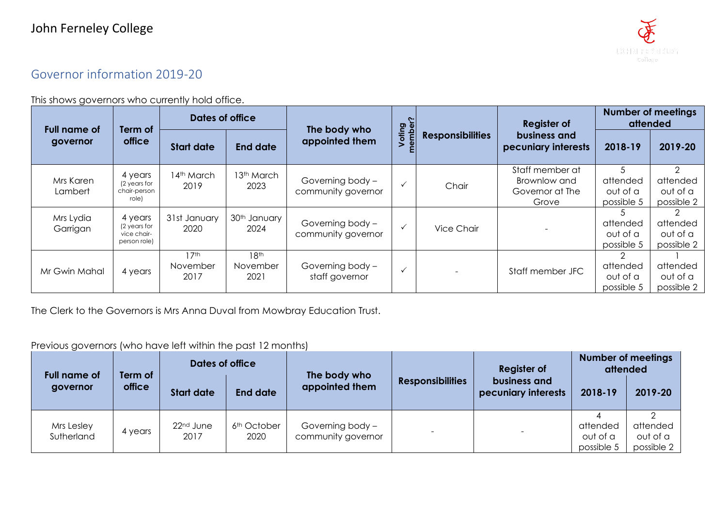## Governor information 2019-20

This shows governors who currently hold office.

| <b>Full name of</b><br>governor | Term of<br>office                                      | Dates of office                      |                                      | The body who                           |                  |                         | <b>Register of</b>                                          | <b>Number of meetings</b><br>attended   |                                                     |
|---------------------------------|--------------------------------------------------------|--------------------------------------|--------------------------------------|----------------------------------------|------------------|-------------------------|-------------------------------------------------------------|-----------------------------------------|-----------------------------------------------------|
|                                 |                                                        | <b>Start date</b>                    | <b>End date</b>                      | appointed them                         | Voting<br>ember? | <b>Responsibilities</b> | business and<br>pecuniary interests                         | 2018-19                                 | 2019-20                                             |
| Mrs Karen<br>Lambert            | 4 years<br>(2 years for<br>chair-person<br>role)       | 14th March<br>2019                   | 13th March<br>2023                   | Governing body -<br>community governor | $\checkmark$     | Chair                   | Staff member at<br>Brownlow and<br>Governor at The<br>Grove | attended<br>out of a<br>possible 5      | $\mathcal{D}$<br>attended<br>out of a<br>possible 2 |
| Mrs Lydia<br>Garrigan           | 4 years<br>(2 years for<br>vice chair-<br>person role) | 31st January<br>2020                 | 30 <sup>th</sup> January<br>2024     | Governing body -<br>community governor |                  | Vice Chair              |                                                             | attended<br>out of a<br>possible 5      | $\mathcal{P}$<br>attended<br>out of a<br>possible 2 |
| Mr Gwin Mahal                   | 4 years                                                | 17 <sup>th</sup><br>November<br>2017 | 18 <sup>th</sup><br>November<br>2021 | Governing body -<br>staff governor     | $\checkmark$     |                         | Staff member JFC                                            | 2<br>attended<br>out of a<br>possible 5 | attended<br>out of a<br>possible 2                  |

The Clerk to the Governors is Mrs Anna Duval from Mowbray Education Trust.

## Previous governors (who have left within the past 12 months)

| <b>Full name of</b><br>governor | Term of<br>office | Dates of office               |                                 | The body who                           |                         | <b>Register of</b>                  | <b>Number of meetings</b><br>attended |                                    |
|---------------------------------|-------------------|-------------------------------|---------------------------------|----------------------------------------|-------------------------|-------------------------------------|---------------------------------------|------------------------------------|
|                                 |                   | <b>Start date</b>             | <b>End date</b>                 | appointed them                         | <b>Responsibilities</b> | business and<br>pecuniary interests | 2018-19                               | 2019-20                            |
| Mrs Lesley<br>Sutherland        | 4 years           | 22 <sup>nd</sup> June<br>2017 | 6 <sup>th</sup> October<br>2020 | Governing body -<br>community governor |                         | $\qquad \qquad \blacksquare$        | attended<br>out of a<br>possible 5    | attended<br>out of a<br>possible 2 |